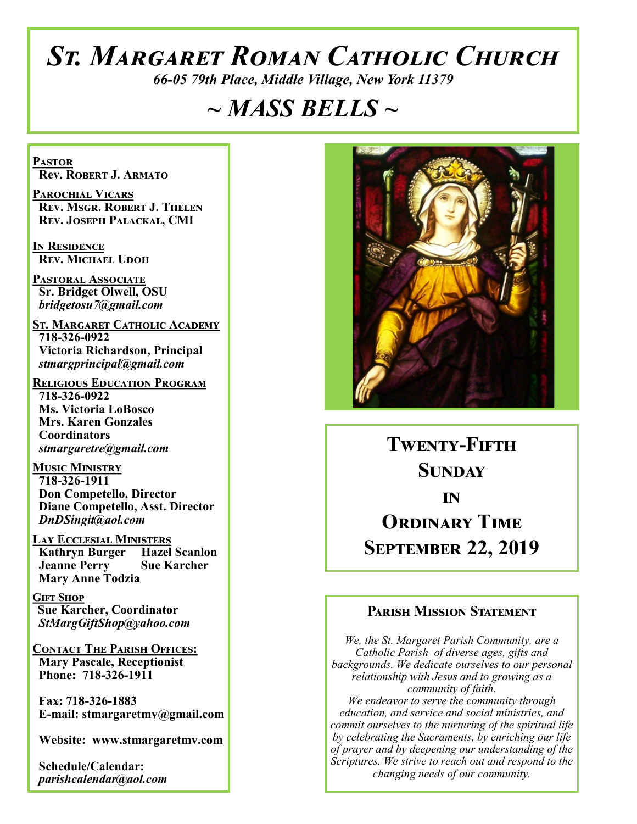# *St. Margaret Roman Catholic Church*

*66-05 79th Place, Middle Village, New York 11379*

## *~ MASS BELLS ~*

**Pastor Rev. Robert J. Armato**

**Parochial Vicars Rev. Msgr. Robert J. Thelen Rev. Joseph Palackal, CMI**

**In Residence Rev. Michael Udoh**

**Pastoral Associate Sr. Bridget Olwell, OSU**  *bridgetosu7@gmail.com*

**St. Margaret Catholic Academy 718-326-0922 Victoria Richardson, Principal**   *stmargprincipal@gmail.com*

**Religious Education Program 718-326-0922 Ms. Victoria LoBosco Mrs. Karen Gonzales Coordinators** *stmargaretre@gmail.com*

**Music Ministry 718-326-1911 Don Competello, Director Diane Competello, Asst. Director** *DnDSingit@aol.com*

**Lay Ecclesial Ministers Kathryn Burger Hazel Scanlon**<br>**Jeanne Perry Sue Karcher Jeanne Perry Mary Anne Todzia**

**Gift Shop Sue Karcher, Coordinator** *StMargGiftShop@yahoo.com*

**Contact The Parish Offices: Mary Pascale, Receptionist Phone: 718-326-1911** 

 **Fax: 718-326-1883 E-mail: stmargaretmv@gmail.com**

 **Website: www.stmargaretmv.com**

 **Schedule/Calendar:** *parishcalendar@aol.com* 



**Twenty-Fifth Sunday in ORDINARY TIME September 22, 2019** 

#### **Parish Mission Statement**

*We, the St. Margaret Parish Community, are a Catholic Parish of diverse ages, gifts and backgrounds. We dedicate ourselves to our personal relationship with Jesus and to growing as a community of faith. We endeavor to serve the community through education, and service and social ministries, and commit ourselves to the nurturing of the spiritual life by celebrating the Sacraments, by enriching our life of prayer and by deepening our understanding of the Scriptures. We strive to reach out and respond to the changing needs of our community.*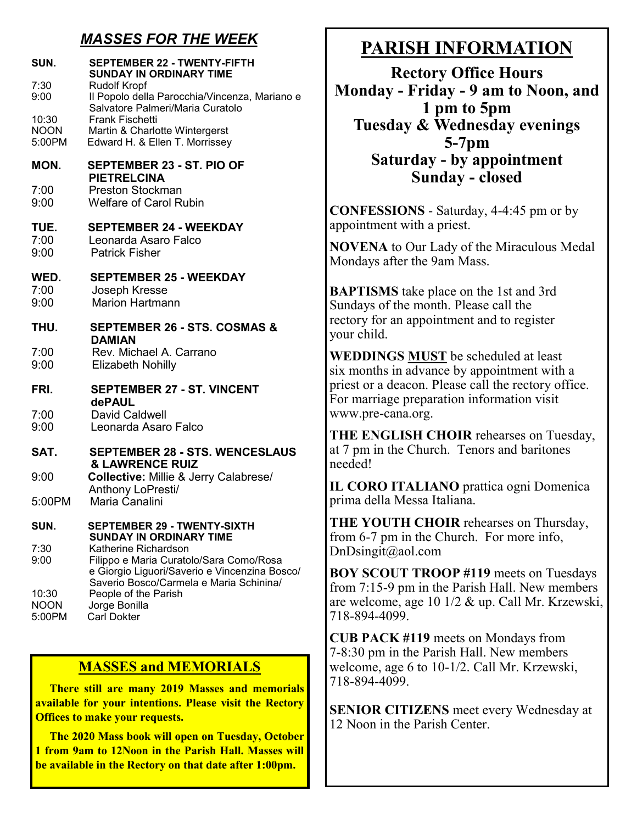## *MASSES FOR THE WEEK*

| SUN.<br>7:30<br>9:00           | <b>SEPTEMBER 22 - TWENTY-FIFTH</b><br><b>SUNDAY IN ORDINARY TIME</b><br><b>Rudolf Kropf</b><br>Il Popolo della Parocchia/Vincenza, Mariano e                |
|--------------------------------|-------------------------------------------------------------------------------------------------------------------------------------------------------------|
| 10:30<br><b>NOON</b><br>5:00PM | Salvatore Palmeri/Maria Curatolo<br><b>Frank Fischetti</b><br>Martin & Charlotte Wintergerst<br>Edward H. & Ellen T. Morrissey                              |
| MON.                           | SEPTEMBER 23 - ST. PIO OF<br><b>PIETRELCINA</b>                                                                                                             |
| 7:00<br>9:00                   | <b>Preston Stockman</b><br><b>Welfare of Carol Rubin</b>                                                                                                    |
| TUE.<br>7:00<br>9:00           | <b>SEPTEMBER 24 - WEEKDAY</b><br>Leonarda Asaro Falco<br><b>Patrick Fisher</b>                                                                              |
| WED.<br>7:00<br>9:00           | <b>SEPTEMBER 25 - WEEKDAY</b><br>Joseph Kresse<br><b>Marion Hartmann</b>                                                                                    |
| THU.                           | <b>SEPTEMBER 26 - STS. COSMAS &amp;</b><br><b>DAMIAN</b>                                                                                                    |
| 7:00<br>9:00                   | Rev. Michael A. Carrano<br><b>Elizabeth Nohilly</b>                                                                                                         |
| FRI.                           | <b>SEPTEMBER 27 - ST. VINCENT</b><br><b>dePAUL</b>                                                                                                          |
| 7:00<br>9:00                   | <b>David Caldwell</b><br>Leonarda Asaro Falco                                                                                                               |
| SAT.                           | <b>SEPTEMBER 28 - STS. WENCESLAUS</b><br><b>&amp; LAWRENCE RUIZ</b>                                                                                         |
| 9:00                           | Collective: Millie & Jerry Calabrese/<br>Anthony LoPresti/                                                                                                  |
| 5:00PM                         | Maria Canalini                                                                                                                                              |
| SUN.                           | <b>SEPTEMBER 29 - TWENTY-SIXTH</b><br><b>SUNDAY IN ORDINARY TIME</b>                                                                                        |
| 7:30<br>9:00                   | Katherine Richardson<br>Filippo e Maria Curatolo/Sara Como/Rosa<br>e Giorgio Liguori/Saverio e Vincenzina Bosco/<br>Saverio Bosco/Carmela e Maria Schinina/ |
| 10:30<br><b>NOON</b><br>5:00PM | People of the Parish<br>Jorge Bonilla<br><b>Carl Dokter</b>                                                                                                 |

#### **MASSES and MEMORIALS**

 **There still are many 2019 Masses and memorials available for your intentions. Please visit the Rectory Offices to make your requests.**

 **The 2020 Mass book will open on Tuesday, October 1 from 9am to 12Noon in the Parish Hall. Masses will be available in the Rectory on that date after 1:00pm.**

## **PARISH INFORMATION**

**Rectory Office Hours Monday - Friday - 9 am to Noon, and 1 pm to 5pm Tuesday & Wednesday evenings 5-7pm Saturday - by appointment Sunday - closed**

**CONFESSIONS** - Saturday, 4-4:45 pm or by appointment with a priest.

**NOVENA** to Our Lady of the Miraculous Medal Mondays after the 9am Mass.

**BAPTISMS** take place on the 1st and 3rd Sundays of the month. Please call the rectory for an appointment and to register your child.

**WEDDINGS MUST** be scheduled at least six months in advance by appointment with a priest or a deacon. Please call the rectory office. For marriage preparation information visit www.pre-cana.org.

**THE ENGLISH CHOIR** rehearses on Tuesday, at 7 pm in the Church. Tenors and baritones needed!

**IL CORO ITALIANO** prattica ogni Domenica prima della Messa Italiana.

**THE YOUTH CHOIR** rehearses on Thursday, from 6-7 pm in the Church. For more info, DnDsingit@aol.com

**BOY SCOUT TROOP #119** meets on Tuesdays from 7:15-9 pm in the Parish Hall. New members are welcome, age 10 1/2 & up. Call Mr. Krzewski, 718-894-4099.

**CUB PACK #119** meets on Mondays from 7-8:30 pm in the Parish Hall. New members welcome, age 6 to 10-1/2. Call Mr. Krzewski, 718-894-4099.

**SENIOR CITIZENS** meet every Wednesday at 12 Noon in the Parish Center.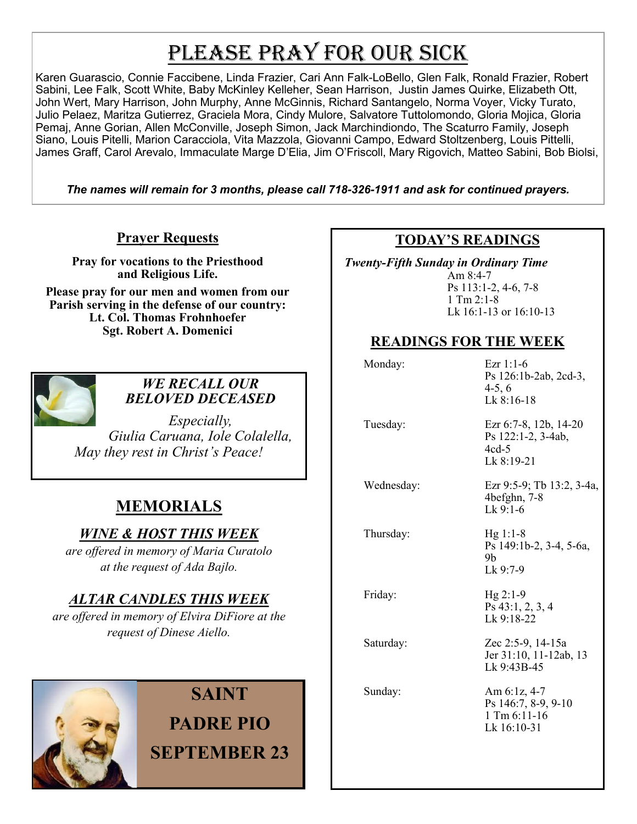# PLEASE PRAY FOR OUR SICK

Karen Guarascio, Connie Faccibene, Linda Frazier, Cari Ann Falk-LoBello, Glen Falk, Ronald Frazier, Robert Sabini, Lee Falk, Scott White, Baby McKinley Kelleher, Sean Harrison, Justin James Quirke, Elizabeth Ott, John Wert, Mary Harrison, John Murphy, Anne McGinnis, Richard Santangelo, Norma Voyer, Vicky Turato, Julio Pelaez, Maritza Gutierrez, Graciela Mora, Cindy Mulore, Salvatore Tuttolomondo, Gloria Mojica, Gloria Pemaj, Anne Gorian, Allen McConville, Joseph Simon, Jack Marchindiondo, The Scaturro Family, Joseph Siano, Louis Pitelli, Marion Caracciola, Vita Mazzola, Giovanni Campo, Edward Stoltzenberg, Louis Pittelli, James Graff, Carol Arevalo, Immaculate Marge D'Elia, Jim O'Friscoll, Mary Rigovich, Matteo Sabini, Bob Biolsi,

*The names will remain for 3 months, please call 718-326-1911 and ask for continued prayers.*

#### **Prayer Requests**

**Pray for vocations to the Priesthood and Religious Life. Please pray for our men and women from our Parish serving in the defense of our country: Lt. Col. Thomas Frohnhoefer Sgt. Robert A. Domenici** 



#### *WE RECALL OUR BELOVED DECEASED*

*Especially, Giulia Caruana, Iole Colalella, May they rest in Christ's Peace!*

## **MEMORIALS**

### *WINE & HOST THIS WEEK*

*are offered in memory of Maria Curatolo at the request of Ada Bajlo.* 

### *ALTAR CANDLES THIS WEEK*

*are offered in memory of Elvira DiFiore at the request of Dinese Aiello.*



## **SAINT PADRE PIO SEPTEMBER 23**

#### **TODAY'S READINGS**

 *Twenty-Fifth Sunday in Ordinary Time*  Am 8:4-7 Ps 113:1-2, 4-6, 7-8  $1$  Tm  $2:1-8$ Lk 16:1-13 or 16:10-13

### **READINGS FOR THE WEEK**

| Monday:    | Ezr $1:1-6$<br>Ps 126:1b-2ab, 2cd-3,<br>$4-5, 6$<br>$Lk$ 8:16-18       |
|------------|------------------------------------------------------------------------|
| Tuesday:   | Ezr 6:7-8, 12b, 14-20<br>Ps 122:1-2, 3-4ab,<br>$4cd-5$<br>Lk 8:19-21   |
| Wednesday: | Ezr 9:5-9; Tb 13:2, 3-4a,<br>$4$ befghn, $7-8$<br>$Lk$ 9:1-6           |
| Thursday:  | $Hg 1:1-8$<br>Ps 149:1b-2, 3-4, 5-6a,<br>9b<br>$Lk$ 9:7-9              |
| Friday:    | $Hg 2:1-9$<br>$Ps$ 43:1, 2, 3, 4<br>Lk 9:18-22                         |
| Saturday:  | Zec 2:5-9, 14-15a<br>Jer 31:10, 11-12ab, 13<br>Lk 9:43B-45             |
| Sunday:    | Am 6:1z, 4-7<br>Ps 146:7, 8-9, 9-10<br>$1$ Tm $6:11-16$<br>Lk 16:10-31 |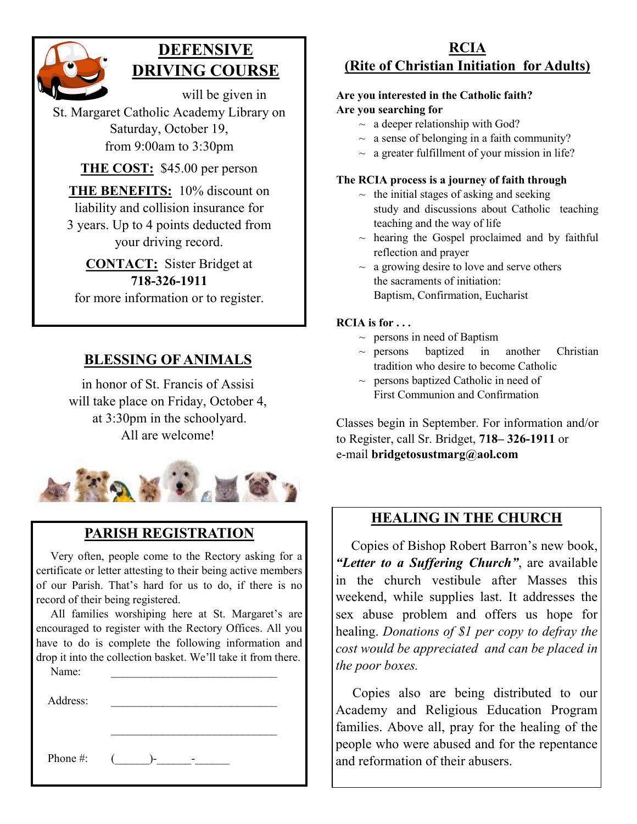

## **DEFENSIVE DRIVING COURSE**

will be given in St. Margaret Catholic Academy Library on Saturday, October 19, from 9:00am to 3:30pm

**THE COST:** \$45.00 per person

**THE BENEFITS:** 10% discount on liability and collision insurance for 3 years. Up to 4 points deducted from your driving record.

**CONTACT:** Sister Bridget at **718-326-1911** for more information or to register.

### **BLESSING OF ANIMALS**

in honor of St. Francis of Assisi will take place on Friday, October 4, at 3:30pm in the schoolyard. All are welcome!



## **PARISH REGISTRATION**

 Very often, people come to the Rectory asking for a certificate or letter attesting to their being active members of our Parish. That's hard for us to do, if there is no record of their being registered.

 All families worshiping here at St. Margaret's are encouraged to register with the Rectory Offices. All you have to do is complete the following information and drop it into the collection basket. We'll take it from there.

Name:

Address:

Phone  $\#$ :  $($ 

#### **RCIA (Rite of Christian Initiation for Adults)**

#### **Are you interested in the Catholic faith? Are you searching for**

- $\sim$  a deeper relationship with God?
- $\sim$  a sense of belonging in a faith community?
- $\sim$  a greater fulfillment of your mission in life?

#### **The RCIA process is a journey of faith through**

- $\sim$  the initial stages of asking and seeking study and discussions about Catholic teaching teaching and the way of life
- $\sim$  hearing the Gospel proclaimed and by faithful reflection and prayer
- $\sim$  a growing desire to love and serve others the sacraments of initiation: Baptism, Confirmation, Eucharist

#### **RCIA is for . . .**

- $\sim$  persons in need of Baptism
- $\sim$  persons baptized in another Christian tradition who desire to become Catholic
- $\sim$  persons baptized Catholic in need of First Communion and Confirmation

Classes begin in September. For information and/or to Register, call Sr. Bridget, **718– 326-1911** or e-mail **bridgetosustmarg@aol.com**

#### **HEALING IN THE CHURCH**

 Copies of Bishop Robert Barron's new book, *"Letter to a Suffering Church"*, are available in the church vestibule after Masses this weekend, while supplies last. It addresses the sex abuse problem and offers us hope for healing. *Donations of \$1 per copy to defray the cost would be appreciated and can be placed in the poor boxes.* 

 Copies also are being distributed to our Academy and Religious Education Program families. Above all, pray for the healing of the people who were abused and for the repentance and reformation of their abusers.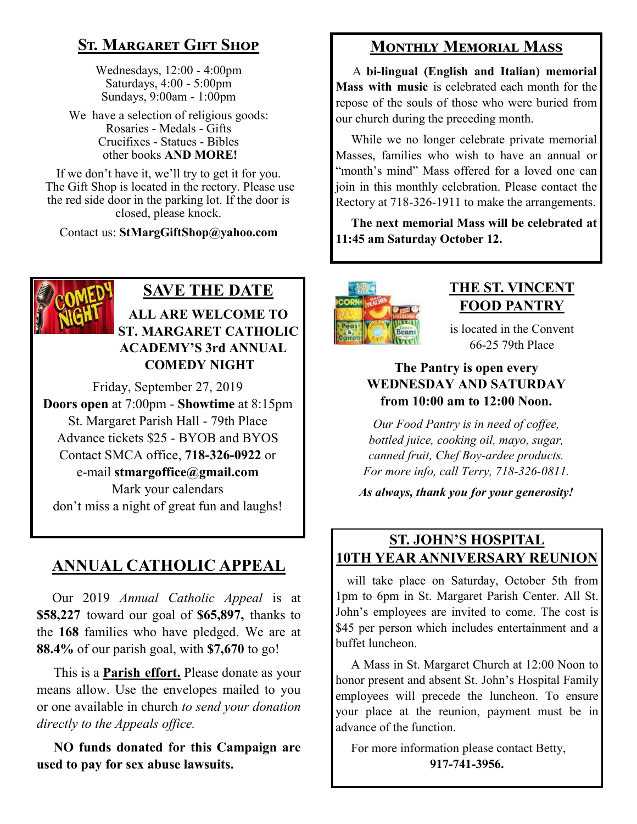## **St. Margaret Gift Shop**

Wednesdays, 12:00 - 4:00pm Saturdays, 4:00 - 5:00pm Sundays, 9:00am - 1:00pm

We have a selection of religious goods: Rosaries - Medals - Gifts Crucifixes - Statues - Bibles other books **AND MORE!**

If we don't have it, we'll try to get it for you. The Gift Shop is located in the rectory. Please use the red side door in the parking lot. If the door is closed, please knock.

Contact us: **StMargGiftShop@yahoo.com**



### **SAVE THE DATE ALL ARE WELCOME TO ST. MARGARET CATHOLIC ACADEMY'S 3rd ANNUAL COMEDY NIGHT**

Friday, September 27, 2019 **Doors open** at 7:00pm - **Showtime** at 8:15pm St. Margaret Parish Hall - 79th Place Advance tickets \$25 - BYOB and BYOS Contact SMCA office, **718-326-0922** or e-mail **stmargoffice@gmail.com** Mark your calendars don't miss a night of great fun and laughs!

## **ANNUAL CATHOLIC APPEAL**

 Our 2019 *Annual Catholic Appeal* is at **\$58,227** toward our goal of **\$65,897,** thanks to the **168** families who have pledged. We are at **88.4%** of our parish goal, with **\$7,670** to go!

 This is a **Parish effort.** Please donate as your means allow. Use the envelopes mailed to you or one available in church *to send your donation directly to the Appeals office.*

 **NO funds donated for this Campaign are used to pay for sex abuse lawsuits.** 

## **Monthly Memorial Mass**

 A **bi-lingual (English and Italian) memorial Mass with music** is celebrated each month for the repose of the souls of those who were buried from our church during the preceding month.

 While we no longer celebrate private memorial Masses, families who wish to have an annual or "month's mind" Mass offered for a loved one can join in this monthly celebration. Please contact the Rectory at 718-326-1911 to make the arrangements.

 **The next memorial Mass will be celebrated at 11:45 am Saturday October 12.** 



#### **THE ST. VINCENT FOOD PANTRY**

is located in the Convent 66-25 79th Place

#### **The Pantry is open every WEDNESDAY AND SATURDAY from 10:00 am to 12:00 Noon.**

*Our Food Pantry is in need of coffee, bottled juice, cooking oil, mayo, sugar, canned fruit, Chef Boy-ardee products. For more info, call Terry, 718-326-0811.*

*As always, thank you for your generosity!*

## **ST. JOHN'S HOSPITAL 10TH YEAR ANNIVERSARY REUNION**

 will take place on Saturday, October 5th from 1pm to 6pm in St. Margaret Parish Center. All St. John's employees are invited to come. The cost is \$45 per person which includes entertainment and a buffet luncheon.

 A Mass in St. Margaret Church at 12:00 Noon to honor present and absent St. John's Hospital Family employees will precede the luncheon. To ensure your place at the reunion, payment must be in advance of the function.

 For more information please contact Betty, **917-741-3956.**